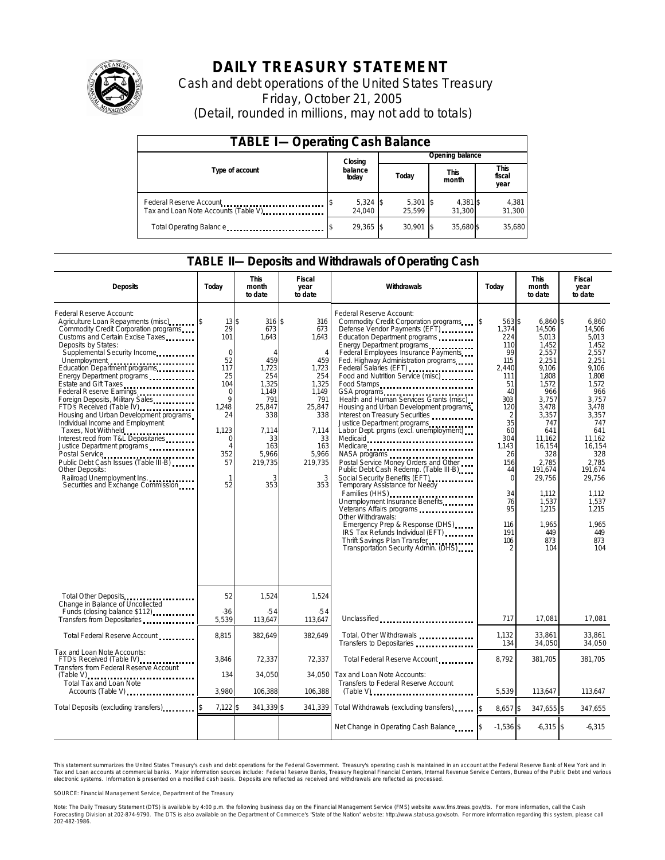

# **DAILY TREASURY STATEMENT**

Cash and debt operations of the United States Treasury Friday, October 21, 2005 (Detail, rounded in millions, may not add to totals)

| <b>TABLE I-Operating Cash Balance</b> |         |                      |                 |                      |  |                      |  |                               |
|---------------------------------------|---------|----------------------|-----------------|----------------------|--|----------------------|--|-------------------------------|
|                                       | Closing |                      | Opening balance |                      |  |                      |  |                               |
| Type of account                       |         | balance<br>today     |                 | Today                |  | <b>This</b><br>month |  | <b>This</b><br>fiscal<br>year |
| Tax and Loan Note Accounts (Table V)  |         | $5,324$ \$<br>24.040 |                 | $5,301$ \$<br>25.599 |  | 4,381 \$<br>31.300   |  | 4,381<br>31,300               |
| Total Operating Balance               |         | 29.365 \$            |                 | $30.901$ S           |  | 35.680\$             |  | 35,680                        |

### **TABLE II—Deposits and Withdrawals of Operating Cash**

| <b>Deposits</b>                                                                                                                                                                                                                                                                                                                                                                                                                                                                                                                                                                                                                                                                                                        | Today                                                                                                                                                                      | <b>This</b><br>month<br>to date                                                                                                                         | <b>Fiscal</b><br>year<br>to date                                                                                                                             | Withdrawals                                                                                                                                                                                                                                                                                                                                                                                                                                                                                                                                                                                                                                                                                                                                                                                                                                                                                                                                                                     | Today                                                                                                                                                                                                          | <b>This</b><br>month<br>to date                                                                                                                                                                                                                       | <b>Fiscal</b><br>year<br>to date                                                                                                                                                                                                                 |
|------------------------------------------------------------------------------------------------------------------------------------------------------------------------------------------------------------------------------------------------------------------------------------------------------------------------------------------------------------------------------------------------------------------------------------------------------------------------------------------------------------------------------------------------------------------------------------------------------------------------------------------------------------------------------------------------------------------------|----------------------------------------------------------------------------------------------------------------------------------------------------------------------------|---------------------------------------------------------------------------------------------------------------------------------------------------------|--------------------------------------------------------------------------------------------------------------------------------------------------------------|---------------------------------------------------------------------------------------------------------------------------------------------------------------------------------------------------------------------------------------------------------------------------------------------------------------------------------------------------------------------------------------------------------------------------------------------------------------------------------------------------------------------------------------------------------------------------------------------------------------------------------------------------------------------------------------------------------------------------------------------------------------------------------------------------------------------------------------------------------------------------------------------------------------------------------------------------------------------------------|----------------------------------------------------------------------------------------------------------------------------------------------------------------------------------------------------------------|-------------------------------------------------------------------------------------------------------------------------------------------------------------------------------------------------------------------------------------------------------|--------------------------------------------------------------------------------------------------------------------------------------------------------------------------------------------------------------------------------------------------|
| Federal Reserve Account:<br>Agriculture Loan Repayments (misc) [\$<br>Commodity Credit Corporation programs<br>Customs and Certain Excise Taxes<br>Deposits by States:<br>Supplemental Security Income<br>Unemployment<br>Education Department programs<br>Energy Department programs<br>Estate and Gift Taxes<br>Federal Reserve Earnings<br>Foreign Deposits, Military Sales<br>FTD's Received (Table IV)<br>Housing and Urban Development programs<br>Individual Income and Employment<br>Taxes, Not Withheld<br>Interest recd from T&L Depositaries<br>Justice Department programs<br>Public Debt Cash Issues (Table III-B)<br>Other Deposits:<br>Railroad Unemployment Ins.<br>Securities and Exchange Commission | 13S<br>29<br>101<br>$\mathbf 0$<br>52<br>117<br>25<br>104<br>$\mathbf 0$<br>$\mathsf{Q}$<br>1,248<br>24<br>1.123<br>0<br>$\overline{A}$<br>352<br>57<br>$\mathbf{1}$<br>52 | 316S<br>673<br>1,643<br>$\Delta$<br>459<br>1,723<br>254<br>1,325<br>1,149<br>791<br>25,847<br>338<br>7.114<br>33<br>163<br>5,966<br>219,735<br>3<br>353 | 316<br>673<br>1,643<br>$\overline{4}$<br>459<br>1,723<br>254<br>1,325<br>1,149<br>791<br>25,847<br>338<br>7.114<br>33<br>163<br>5,966<br>219,735<br>3<br>353 | Federal Reserve Account:<br>Commodity Credit Corporation programs<br>Defense Vendor Payments (EFT)<br>Education Department programs<br>Energy Department programs<br>Federal Employees Insurance Payments<br>Fed. Highway Administration programs<br>Federal Salaries (EFT)<br>Food and Nutrition Service (misc)<br>Food Stamps<br>GSA programs<br>Health and Human Services Grants (misc).<br>Housing and Urban Development programs<br>Interest on Treasury Securities<br>Justice Department programs<br>Labor Dept. prgms (excl. unemployment)<br>Medicaid<br>Medicare<br>NASA programs<br>Postal Service Money Orders and Other<br>Public Debt Cash Redemp. (Table III-B)<br>Social Security Benefits (EFT)<br><br>Temporary Assistance for Needy<br>Families (HHS)<br>Unemployment Insurance Benefits<br>Other Withdrawals:<br>Emergency Prep & Response (DHS)<br>IRS Tax Refunds Individual (EFT)<br>Thrift Savings Plan Transfer<br>Transportation Security Admin. (DHS) | 563 \$<br>\$<br>1,374<br>224<br>110<br>99<br>115<br>2.440<br>111<br>51<br>40<br>303<br>120<br>$\overline{2}$<br>35<br>60<br>304<br>1,143<br>26<br>156<br>44<br>$\Omega$<br>34<br>76<br>95<br>116<br>191<br>106 | $6,860$ \$<br>14,506<br>5,013<br>1.452<br>2,557<br>2.251<br>9.106<br>1.808<br>1.572<br>966<br>3.757<br>3,478<br>3,357<br>747<br>641<br>11.162<br>16,154<br>328<br>2,785<br>191.674<br>29.756<br>1.112<br>1,537<br>1,215<br>1.965<br>449<br>873<br>104 | 6,860<br>14,506<br>5.013<br>1.452<br>2,557<br>2.251<br>9.106<br>1.808<br>1.572<br>966<br>3.757<br>3,478<br>3.357<br>747<br>641<br>11.162<br>16,154<br>328<br>2.785<br>191.674<br>29.756<br>1.112<br>1,537<br>1,215<br>1.965<br>449<br>873<br>104 |
| Total Other Deposits<br>Change in Balance of Uncollected                                                                                                                                                                                                                                                                                                                                                                                                                                                                                                                                                                                                                                                               | 52                                                                                                                                                                         | 1,524                                                                                                                                                   | 1,524                                                                                                                                                        |                                                                                                                                                                                                                                                                                                                                                                                                                                                                                                                                                                                                                                                                                                                                                                                                                                                                                                                                                                                 |                                                                                                                                                                                                                |                                                                                                                                                                                                                                                       |                                                                                                                                                                                                                                                  |
| Funds (closing balance \$112)<br>Funds (closing balance \$112)<br>Transfers from Depositaries                                                                                                                                                                                                                                                                                                                                                                                                                                                                                                                                                                                                                          | $-36$<br>5,539                                                                                                                                                             | $-54$<br>113.647                                                                                                                                        | $-54$<br>113.647                                                                                                                                             | Unclassified                                                                                                                                                                                                                                                                                                                                                                                                                                                                                                                                                                                                                                                                                                                                                                                                                                                                                                                                                                    | 717                                                                                                                                                                                                            | 17.081                                                                                                                                                                                                                                                | 17,081                                                                                                                                                                                                                                           |
| Total Federal Reserve Account                                                                                                                                                                                                                                                                                                                                                                                                                                                                                                                                                                                                                                                                                          | 8,815                                                                                                                                                                      | 382,649                                                                                                                                                 | 382,649                                                                                                                                                      | Total, Other Withdrawals<br>Transfers to Depositaries                                                                                                                                                                                                                                                                                                                                                                                                                                                                                                                                                                                                                                                                                                                                                                                                                                                                                                                           | 1,132<br>134                                                                                                                                                                                                   | 33,861<br>34,050                                                                                                                                                                                                                                      | 33,861<br>34,050                                                                                                                                                                                                                                 |
| Tax and Loan Note Accounts:<br>FTD's Received (Table IV)<br>Transfers from Federal Reserve Account                                                                                                                                                                                                                                                                                                                                                                                                                                                                                                                                                                                                                     | 3,846                                                                                                                                                                      | 72,337                                                                                                                                                  | 72,337                                                                                                                                                       | Total Federal Reserve Account                                                                                                                                                                                                                                                                                                                                                                                                                                                                                                                                                                                                                                                                                                                                                                                                                                                                                                                                                   | 8,792                                                                                                                                                                                                          | 381,705                                                                                                                                                                                                                                               | 381,705                                                                                                                                                                                                                                          |
| Total Tax and Loan Note<br>Accounts (Table V)                                                                                                                                                                                                                                                                                                                                                                                                                                                                                                                                                                                                                                                                          | 134<br>3.980                                                                                                                                                               | 34,050<br>106.388                                                                                                                                       | 34.050<br>106,388                                                                                                                                            | Tax and Loan Note Accounts:<br>Transfers to Federal Reserve Account<br>$(Table V)$                                                                                                                                                                                                                                                                                                                                                                                                                                                                                                                                                                                                                                                                                                                                                                                                                                                                                              | 5.539                                                                                                                                                                                                          | 113.647                                                                                                                                                                                                                                               | 113.647                                                                                                                                                                                                                                          |
| Total Deposits (excluding transfers)                                                                                                                                                                                                                                                                                                                                                                                                                                                                                                                                                                                                                                                                                   | 7,122 \$                                                                                                                                                                   | 341,339 \$                                                                                                                                              | 341,339                                                                                                                                                      | Total Withdrawals (excluding transfers)                                                                                                                                                                                                                                                                                                                                                                                                                                                                                                                                                                                                                                                                                                                                                                                                                                                                                                                                         | $8.657$ \$                                                                                                                                                                                                     | 347,655 \$                                                                                                                                                                                                                                            | 347.655                                                                                                                                                                                                                                          |
|                                                                                                                                                                                                                                                                                                                                                                                                                                                                                                                                                                                                                                                                                                                        |                                                                                                                                                                            |                                                                                                                                                         |                                                                                                                                                              | Net Change in Operating Cash Balance                                                                                                                                                                                                                                                                                                                                                                                                                                                                                                                                                                                                                                                                                                                                                                                                                                                                                                                                            | $-1,536$ \$                                                                                                                                                                                                    | $-6.315$ \$                                                                                                                                                                                                                                           | $-6,315$                                                                                                                                                                                                                                         |

This statement summarizes the United States Treasury's cash and debt operations for the Federal Government. Treasury's operating cash is maintained in an account at the Federal Reserve Bank of New York and in Tax and Loan accounts at commercial banks. Major information sources include: Federal Reserve Banks, Treasury Regional Financial Centers, Internal Revenue Service Centers, Bureau of the Public Debt and various<br>electronic s

SOURCE: Financial Management Service, Department of the Treasury

Note: The Daily Treasury Statement (DTS) is available by 4:00 p.m. the following business day on the Financial Management Service (FMS) website www.fms.treas.gov/dts. For more information, call the Cash<br>Forecasting Divisio 'S) is available by 4:00 p.m. the following business day on the Financial Management Service (FMS) website www.fms.treas.gov/dts. For more information, call the Cash<br>The DTS is also available on the Department of Commerce'